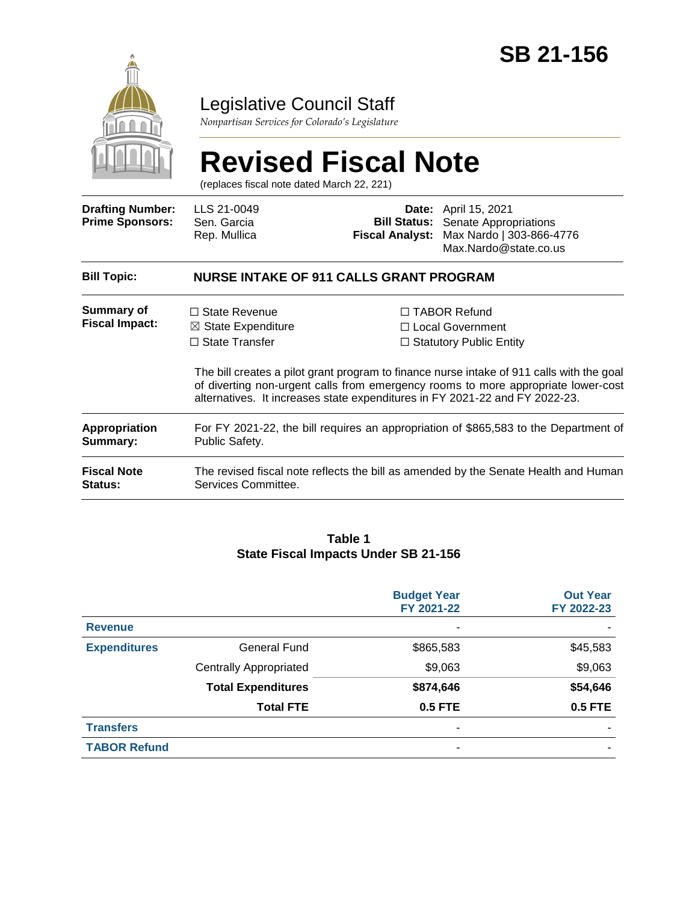

### Legislative Council Staff

*Nonpartisan Services for Colorado's Legislature*

# **Revised Fiscal Note**

(replaces fiscal note dated March 22, 221)

| <b>Drafting Number:</b><br><b>Prime Sponsors:</b> | LLS 21-0049<br>Sen. Garcia<br>Rep. Mullica                                                             |  | <b>Date:</b> April 15, 2021<br><b>Bill Status:</b> Senate Appropriations<br>Fiscal Analyst: Max Nardo   303-866-4776<br>Max.Nardo@state.co.us                                                                                                                                                                                                |  |  |
|---------------------------------------------------|--------------------------------------------------------------------------------------------------------|--|----------------------------------------------------------------------------------------------------------------------------------------------------------------------------------------------------------------------------------------------------------------------------------------------------------------------------------------------|--|--|
| <b>Bill Topic:</b>                                | <b>NURSE INTAKE OF 911 CALLS GRANT PROGRAM</b>                                                         |  |                                                                                                                                                                                                                                                                                                                                              |  |  |
| <b>Summary of</b><br><b>Fiscal Impact:</b>        | $\Box$ State Revenue<br>$\boxtimes$ State Expenditure<br>$\Box$ State Transfer                         |  | $\Box$ TABOR Refund<br>□ Local Government<br>$\Box$ Statutory Public Entity<br>The bill creates a pilot grant program to finance nurse intake of 911 calls with the goal<br>of diverting non-urgent calls from emergency rooms to more appropriate lower-cost<br>alternatives. It increases state expenditures in FY 2021-22 and FY 2022-23. |  |  |
| Appropriation<br>Summary:                         | For FY 2021-22, the bill requires an appropriation of \$865,583 to the Department of<br>Public Safety. |  |                                                                                                                                                                                                                                                                                                                                              |  |  |
| <b>Fiscal Note</b><br>Status:                     | Services Committee.                                                                                    |  | The revised fiscal note reflects the bill as amended by the Senate Health and Human                                                                                                                                                                                                                                                          |  |  |

#### **Table 1 State Fiscal Impacts Under SB 21-156**

|                     |                               | <b>Budget Year</b><br>FY 2021-22 | <b>Out Year</b><br>FY 2022-23 |
|---------------------|-------------------------------|----------------------------------|-------------------------------|
| <b>Revenue</b>      |                               |                                  |                               |
| <b>Expenditures</b> | <b>General Fund</b>           | \$865,583                        | \$45,583                      |
|                     | <b>Centrally Appropriated</b> | \$9,063                          | \$9,063                       |
|                     | <b>Total Expenditures</b>     | \$874,646                        | \$54,646                      |
|                     | <b>Total FTE</b>              | <b>0.5 FTE</b>                   | <b>0.5 FTE</b>                |
| <b>Transfers</b>    |                               | -                                |                               |
| <b>TABOR Refund</b> |                               | ٠                                |                               |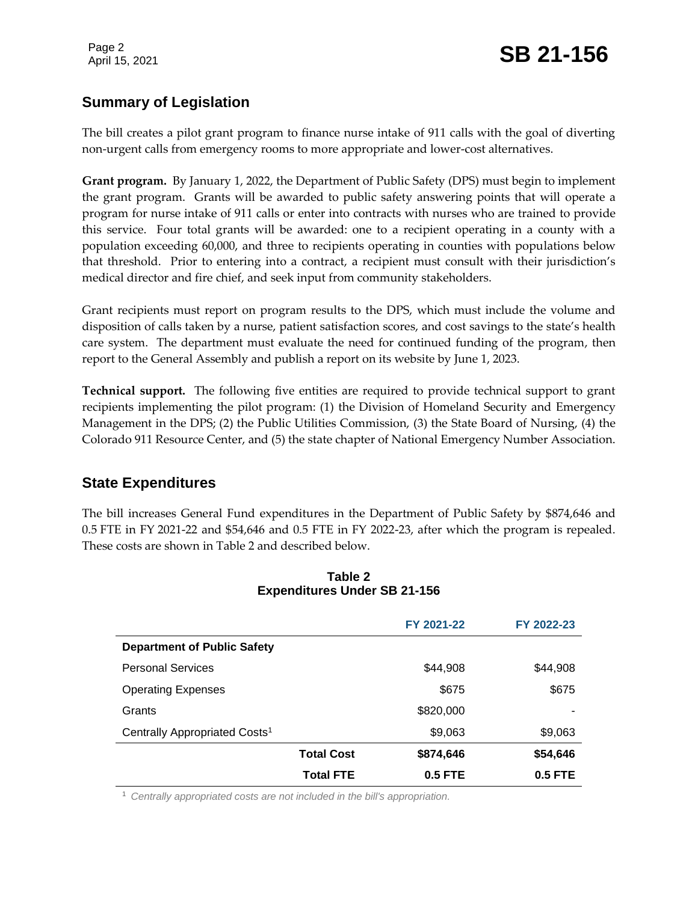#### **Summary of Legislation**

The bill creates a pilot grant program to finance nurse intake of 911 calls with the goal of diverting non-urgent calls from emergency rooms to more appropriate and lower-cost alternatives.

**Grant program.** By January 1, 2022, the Department of Public Safety (DPS) must begin to implement the grant program. Grants will be awarded to public safety answering points that will operate a program for nurse intake of 911 calls or enter into contracts with nurses who are trained to provide this service. Four total grants will be awarded: one to a recipient operating in a county with a population exceeding 60,000, and three to recipients operating in counties with populations below that threshold. Prior to entering into a contract, a recipient must consult with their jurisdiction's medical director and fire chief, and seek input from community stakeholders.

Grant recipients must report on program results to the DPS, which must include the volume and disposition of calls taken by a nurse, patient satisfaction scores, and cost savings to the state's health care system. The department must evaluate the need for continued funding of the program, then report to the General Assembly and publish a report on its website by June 1, 2023.

**Technical support.** The following five entities are required to provide technical support to grant recipients implementing the pilot program: (1) the Division of Homeland Security and Emergency Management in the DPS; (2) the Public Utilities Commission, (3) the State Board of Nursing, (4) the Colorado 911 Resource Center, and (5) the state chapter of National Emergency Number Association.

#### **State Expenditures**

The bill increases General Fund expenditures in the Department of Public Safety by \$874,646 and 0.5 FTE in FY 2021-22 and \$54,646 and 0.5 FTE in FY 2022-23, after which the program is repealed. These costs are shown in Table 2 and described below.

|                                           |                   | FY 2021-22 | FY 2022-23 |  |
|-------------------------------------------|-------------------|------------|------------|--|
| <b>Department of Public Safety</b>        |                   |            |            |  |
| <b>Personal Services</b>                  |                   | \$44,908   | \$44,908   |  |
| <b>Operating Expenses</b>                 |                   | \$675      | \$675      |  |
| Grants                                    |                   | \$820,000  |            |  |
| Centrally Appropriated Costs <sup>1</sup> |                   | \$9,063    | \$9,063    |  |
|                                           | <b>Total Cost</b> | \$874,646  | \$54,646   |  |
|                                           | <b>Total FTE</b>  | $0.5$ FTE  | $0.5$ FTE  |  |

#### **Table 2 Expenditures Under SB 21-156**

<sup>1</sup> *Centrally appropriated costs are not included in the bill's appropriation.*